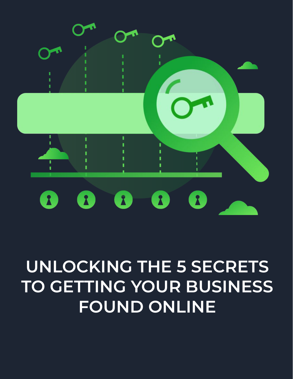

# **UNLOCKING THE 5 SECRETS TO GETTING YOUR BUSINESS FOUND ONLINE**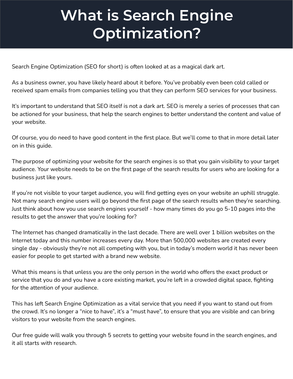### **What is Search Engine Optimization?**

Search Engine Optimization (SEO for short) is often looked at as a magical dark art.

As a business owner, you have likely heard about it before. You've probably even been cold called or received spam emails from companies telling you that they can perform SEO services for your business.

It's important to understand that SEO itself is not a dark art. SEO is merely a series of processes that can be actioned for your business, that help the search engines to better understand the content and value of your website.

Of course, you do need to have good content in the first place. But we'll come to that in more detail later on in this guide.

The purpose of optimizing your website for the search engines is so that you gain visibility to your target audience. Your website needs to be on the first page of the search results for users who are looking for a business just like yours.

If you're not visible to your target audience, you will find getting eyes on your website an uphill struggle. Not many search engine users will go beyond the first page of the search results when they're searching. Just think about how you use search engines yourself - how many times do you go 5-10 pages into the results to get the answer that you're looking for?

The Internet has changed dramatically in the last decade. There are well over 1 billion websites on the Internet today and this number increases every day. More than 500,000 websites are created every single day - obviously they're not all competing with you, but in today's modern world it has never been easier for people to get started with a brand new website.

What this means is that unless you are the only person in the world who offers the exact product or service that you do and you have a core existing market, you're left in a crowded digital space, fighting for the attention of your audience.

This has left Search Engine Optimization as a vital service that you need if you want to stand out from the crowd. It's no longer a "nice to have", it's a "must have", to ensure that you are visible and can bring visitors to your website from the search engines.

Our free guide will walk you through 5 secrets to getting your website found in the search engines, and it all starts with research.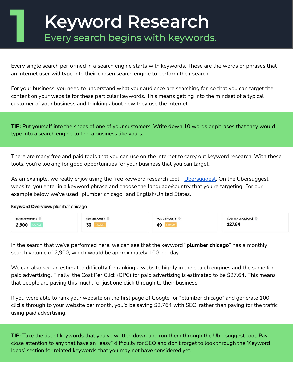# **Keyword Research**<br>**Every search begins with keywords.**

Every single search performed in a search engine starts with keywords. These are the words or phrases that an Internet user will type into their chosen search engine to perform their search.

For your business, you need to understand what your audience are searching for, so that you can target the content on your website for these particular keywords. This means getting into the mindset of a typical customer of your business and thinking about how they use the Internet.

**TIP:** Put yourself into the shoes of one of your customers. Write down 10 words or phrases that they would type into a search engine to find a business like yours.

There are many free and paid tools that you can use on the Internet to carry out keyword research. With these tools, you're looking for good opportunities for your business that you can target.

As an example, we really enjoy using the free keyword research tool - [Ubersuggest](https://neilpatel.com/ubersuggest/). On the Ubersuggest website, you enter in a keyword phrase and choose the language/country that you're targeting. For our example below we've used "plumber chicago" and English/United States.

Keyword Overview: plumber chicago

| <b>SEARCH VOLUME</b> | <b>SEO DIFFICULTY</b> | <b>PAID DIFFICULTY</b> | <b>COST PER CLICK [CPC]</b> |
|----------------------|-----------------------|------------------------|-----------------------------|
| 2,900                | 27<br>Jë              | 49                     | \$27.64                     |

In the search that we've performed here, we can see that the keyword **"plumber chicago**" has a monthly search volume of 2,900, which would be approximately 100 per day.

We can also see an estimated difficulty for ranking a website highly in the search engines and the same for paid advertising. Finally, the Cost Per Click (CPC) for paid advertising is estimated to be \$27.64. This means that people are paying this much, for just one click through to their business.

If you were able to rank your website on the first page of Google for "plumber chicago" and generate 100 clicks through to your website per month, you'd be saving \$2,764 with SEO, rather than paying for the traffic using paid advertising.

**TIP:** Take the list of keywords that you've written down and run them through the Ubersuggest tool. Pay close attention to any that have an "easy" difficulty for SEO and don't forget to look through the 'Keyword Ideas' section for related keywords that you may not have considered yet.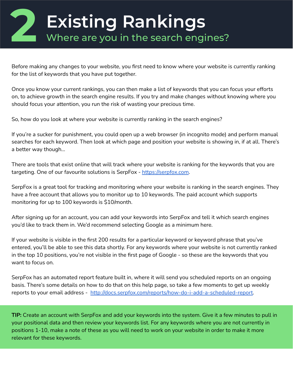#### **2 Existing Rankings** Where are you in the search engines?

Before making any changes to your website, you first need to know where your website is currently ranking for the list of keywords that you have put together.

Once you know your current rankings, you can then make a list of keywords that you can focus your efforts on, to achieve growth in the search engine results. If you try and make changes without knowing where you should focus your attention, you run the risk of wasting your precious time.

So, how do you look at where your website is currently ranking in the search engines?

If you're a sucker for punishment, you could open up a web browser (in incognito mode) and perform manual searches for each keyword. Then look at which page and position your website is showing in, if at all. There's a better way though...

There are tools that exist online that will track where your website is ranking for the keywords that you are targeting. One of our favourite solutions is SerpFox - [https://serpfox.com.](https://serpfox.com)

SerpFox is a great tool for tracking and monitoring where your website is ranking in the search engines. They have a free account that allows you to monitor up to 10 keywords. The paid account which supports monitoring for up to 100 keywords is \$10/month.

After signing up for an account, you can add your keywords into SerpFox and tell it which search engines you'd like to track them in. We'd recommend selecting Google as a minimum here.

If your website is visible in the first 200 results for a particular keyword or keyword phrase that you've entered, you'll be able to see this data shortly. For any keywords where your website is not currently ranked in the top 10 positions, you're not visible in the first page of Google - so these are the keywords that you want to focus on.

SerpFox has an automated report feature built in, where it will send you scheduled reports on an ongoing basis. There's some details on how to do that on this help page, so take a few moments to get up weekly reports to your email address - <http://docs.serpfox.com/reports/how-do-i-add-a-scheduled-report>.

**TIP:** Create an account with SerpFox and add your keywords into the system. Give it a few minutes to pull in your positional data and then review your keywords list. For any keywords where you are not currently in positions 1-10, make a note of these as you will need to work on your website in order to make it more relevant for these keywords.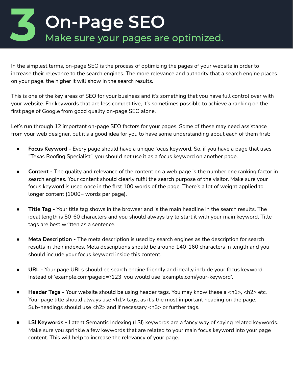# **3 On-Page SEO** Make sure your pages are optimized.

In the simplest terms, on-page SEO is the process of optimizing the pages of your website in order to increase their relevance to the search engines. The more relevance and authority that a search engine places on your page, the higher it will show in the search results.

This is one of the key areas of SEO for your business and it's something that you have full control over with your website. For keywords that are less competitive, it's sometimes possible to achieve a ranking on the first page of Google from good quality on-page SEO alone.

Let's run through 12 important on-page SEO factors for your pages. Some of these may need assistance from your web designer, but it's a good idea for you to have some understanding about each of them first:

- **Focus Keyword -** Every page should have a unique focus keyword. So, if you have a page that uses "Texas Roofing Specialist", you should not use it as a focus keyword on another page.
- **Content** The quality and relevance of the content on a web page is the number one ranking factor in search engines. Your content should clearly fulfil the search purpose of the visitor. Make sure your focus keyword is used once in the first 100 words of the page. There's a lot of weight applied to longer content (1000+ words per page).
- **Title Tag -** Your title tag shows in the browser and is the main headline in the search results. The ideal length is 50-60 characters and you should always try to start it with your main keyword. Title tags are best written as a sentence.
- **Meta Description -** The meta description is used by search engines as the description for search results in their indexes. Meta descriptions should be around 140-160 characters in length and you should include your focus keyword inside this content.
- **URL -** Your page URLs should be search engine friendly and ideally include your focus keyword. Instead of 'example.com/pageid=?123' you would use 'example.com/your-keyword'.
- Header Tags Your website should be using header tags. You may know these a <h1>, <h2> etc. Your page title should always use <h1> tags, as it's the most important heading on the page. Sub-headings should use <h2> and if necessary <h3> or further tags.
- **LSI Keywords** Latent Semantic Indexing (LSI) keywords are a fancy way of saying related keywords. Make sure you sprinkle a few keywords that are related to your main focus keyword into your page content. This will help to increase the relevancy of your page.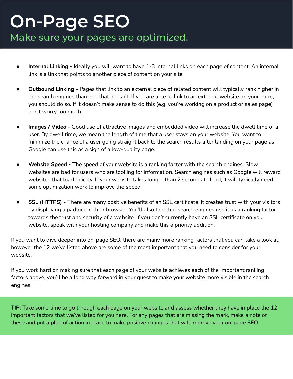#### **On-Page SEO** Make sure your pages are optimized.

- **Internal Linking -** Ideally you will want to have 1-3 internal links on each page of content. An internal link is a link that points to another piece of content on your site.
- **Outbound Linking** Pages that link to an external piece of related content will typically rank higher in the search engines than one that doesn't. If you are able to link to an external website on your page, you should do so. If it doesn't make sense to do this (e.g. you're working on a product or sales page) don't worry too much.
- **Images / Video -** Good use of attractive images and embedded video will increase the dwell time of a user. By dwell time, we mean the length of time that a user stays on your website. You want to minimize the chance of a user going straight back to the search results after landing on your page as Google can use this as a sign of a low-quality page.
- **Website Speed -** The speed of your website is a ranking factor with the search engines. Slow websites are bad for users who are looking for information. Search engines such as Google will reward websites that load quickly. If your website takes longer than 2 seconds to load, it will typically need some optimization work to improve the speed.
- **SSL (HTTPS) -** There are many positive benefits of an SSL certificate. It creates trust with your visitors by displaying a padlock in their browser. You'll also find that search engines use it as a ranking factor towards the trust and security of a website. If you don't currently have an SSL certificate on your website, speak with your hosting company and make this a priority addition.

If you want to dive deeper into on-page SEO, there are many more ranking factors that you can take a look at, however the 12 we've listed above are some of the most important that you need to consider for your website.

If you work hard on making sure that each page of your website achieves each of the important ranking factors above, you'll be a long way forward in your quest to make your website more visible in the search engines.

**TIP:** Take some time to go through each page on your website and assess whether they have in place the 12 important factors that we've listed for you here. For any pages that are missing the mark, make a note of these and put a plan of action in place to make positive changes that will improve your on-page SEO.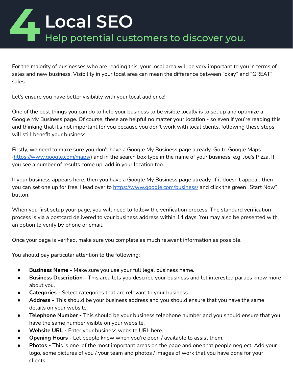# **Local SEO**<br>**4** Help potential customers to discover you.

For the majority of businesses who are reading this, your local area will be very important to you in terms of sales and new business. Visibility in your local area can mean the difference between "okay" and "GREAT" sales.

Let's ensure you have better visibility with your local audience!

One of the best things you can do to help your business to be visible locally is to set up and optimize a Google My Business page. Of course, these are helpful no matter your location - so even if you're reading this and thinking that it's not important for you because you don't work with local clients, following these steps will still benefit your business.

Firstly, we need to make sure you don't have a Google My Business page already. Go to Google Maps (<https://www.google.com/maps/>) and in the search box type in the name of your business, e.g. Joe's Pizza. If you see a number of results come up, add in your location too.

If your business appears here, then you have a Google My Business page already. If it doesn't appear, then you can set one up for free. Head over to<https://www.google.com/business/> and click the green "Start Now" button.

When you first setup your page, you will need to follow the verification process. The standard verification process is via a postcard delivered to your business address within 14 days. You may also be presented with an option to verify by phone or email.

Once your page is verified, make sure you complete as much relevant information as possible.

You should pay particular attention to the following:

- **Business Name** Make sure you use your full legal business name.
- **Business Description** This area lets you describe your business and let interested parties know more about you.
- **Categories -** Select categories that are relevant to your business.
- **Address -** This should be your business address and you should ensure that you have the same details on your website.
- **Telephone Number -** This should be your business telephone number and you should ensure that you have the same number visible on your website.
- Website URL Enter your business website URL here.
- **Opening Hours -** Let people know when you're open / available to assist them.
- **Photos -** This is one of the most important areas on the page and one that people neglect. Add your logo, some pictures of you / your team and photos / images of work that you have done for your clients.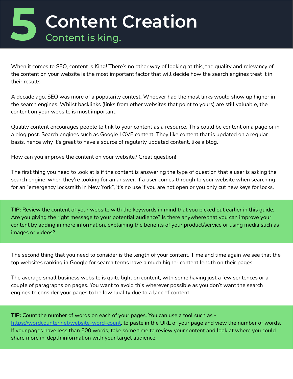

When it comes to SEO, content is King! There's no other way of looking at this, the quality and relevancy of the content on your website is the most important factor that will decide how the search engines treat it in their results.

A decade ago, SEO was more of a popularity contest. Whoever had the most links would show up higher in the search engines. Whilst backlinks (links from other websites that point to yours) are still valuable, the content on your website is most important.

Quality content encourages people to link to your content as a resource. This could be content on a page or in a blog post. Search engines such as Google LOVE content. They like content that is updated on a regular basis, hence why it's great to have a source of regularly updated content, like a blog.

How can you improve the content on your website? Great question!

The first thing you need to look at is if the content is answering the type of question that a user is asking the search engine, when they're looking for an answer. If a user comes through to your website when searching for an "emergency locksmith in New York", it's no use if you are not open or you only cut new keys for locks.

**TIP:** Review the content of your website with the keywords in mind that you picked out earlier in this guide. Are you giving the right message to your potential audience? Is there anywhere that you can improve your content by adding in more information, explaining the benefits of your product/service or using media such as images or videos?

The second thing that you need to consider is the length of your content. Time and time again we see that the top websites ranking in Google for search terms have a much higher content length on their pages.

The average small business website is quite light on content, with some having just a few sentences or a couple of paragraphs on pages. You want to avoid this wherever possible as you don't want the search engines to consider your pages to be low quality due to a lack of content.

**TIP:** Count the number of words on each of your pages. You can use a tool such as -

[https://wordcounter.net/website-word-count,](https://wordcounter.net/website-word-count) to paste in the URL of your page and view the number of words. If your pages have less than 500 words, take some time to review your content and look at where you could share more in-depth information with your target audience.